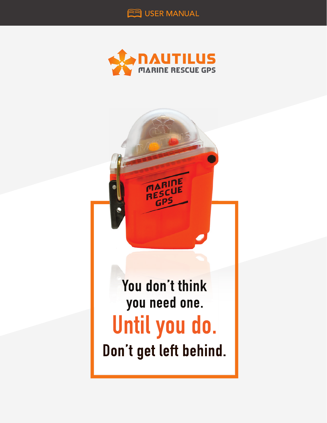



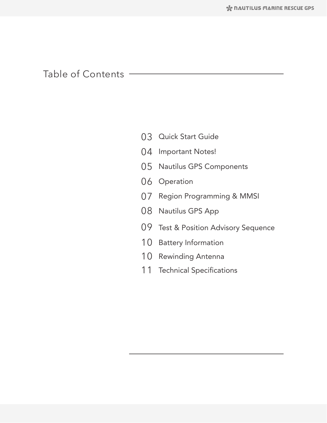# Table of Contents

- 03 Quick Start Guide
- 04 Important Notes!
- 05 Nautilus GPS Components
- 06 Operation
- 07 Region Programming & MMSI
- 08 Nautilus GPS App
- 09 Test & Position Advisory Sequence
- 10 Battery Information
- 10 Rewinding Antenna
- 11 Technical Specifications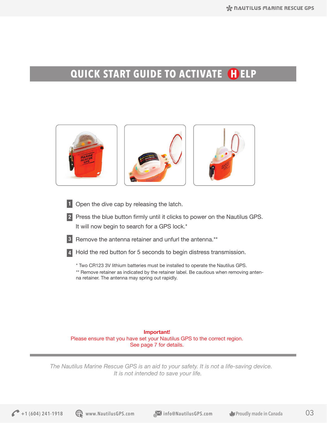# **QUICK START GUIDE TO ACTIVATE HELP**



**Important!** Please ensure that you have set your Nautilus GPS to the correct region. See page 7 for details.

*The Nautilus Marine Rescue GPS is an aid to your safety. It is not a life-saving device. It is not intended to save your life.*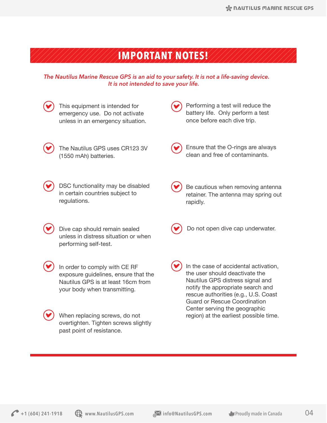# **IMPORTANT NOTES!**

### *The Nautilus Marine Rescue GPS is an aid to your safety. It is not a life-saving device. It is not intended to save your life.*

- This equipment is intended for emergency use. Do not activate unless in an emergency situation.
	- The Nautilus GPS uses CR123 3V (1550 mAh) batteries.
	- DSC functionality may be disabled in certain countries subject to regulations.
		- Dive cap should remain sealed unless in distress situation or when performing self-test.
	- In order to comply with CE RF exposure guidelines, ensure that the Nautilus GPS is at least 16cm from your body when transmitting.
- 

When replacing screws, do not overtighten. Tighten screws slightly past point of resistance.

Performing a test will reduce the battery life. Only perform a test once before each dive trip.

Ensure that the O-rings are always clean and free of contaminants.

Be cautious when removing antenna retainer. The antenna may spring out rapidly.

- Do not open dive cap underwater.
- In the case of accidental activation, the user should deactivate the Nautilus GPS distress signal and notify the appropriate search and rescue authorities (e.g., U.S. Coast Guard or Rescue Coordination Center serving the geographic region) at the earliest possible time.

**1** (604) 241-1918 **C** www.NautilusGPS.com and info@NautilusGPS.com **Proudly made in Canada** 04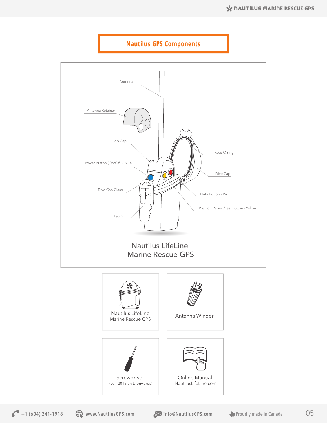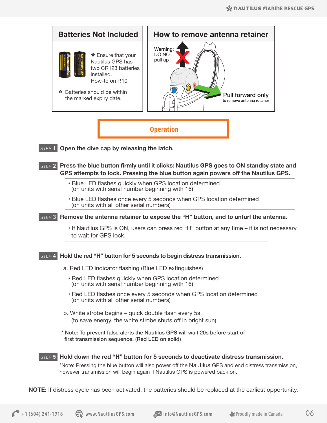

**NOTE:** If distress cycle has been activated, the batteries should be replaced at the earliest opportunity.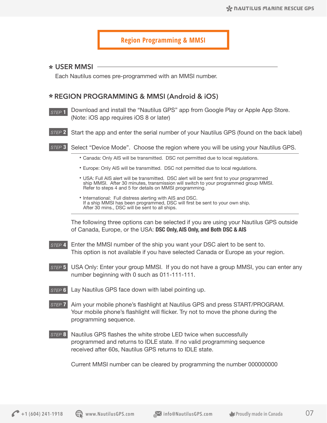# **Region Programming & MMSI**

#### **USER MMSI**

Each Nautilus comes pre-programmed with an MMSI number.

### **REGION PROGRAMMING & MMSI (Android & iOS)**

- *STEP* **1** Download and install the "Nautilus GPS" app from Google Play or Apple App Store. (Note: iOS app requires iOS 8 or later)
- *STEP* **2** Start the app and enter the serial number of your Nautilus GPS (found on the back label)
- *STEP* **3** Select "Device Mode". Choose the region where you will be using your Nautilus GPS.
	- Canada: Only AIS will be transmitted. DSC not permitted due to local regulations.
	- Europe: Only AIS will be transmitted. DSC not permitted due to local regulations.
	- USA: Full AIS alert will be transmitted. DSC alert will be sent first to your programmed ship MMSI. After 30 minutes, transmission will switch to your programmed group MMSI. Refer to steps 4 and 5 for details on MMSI programming.
	- International: Full distress alerting with AIS and DSC. If a ship MMSI has been programmed, DSC will first be sent to your own ship. After 30 mins., DSC will be sent to all ships.

The following three options can be selected if you are using your Nautilus GPS outside of Canada, Europe, or the USA: **DSC Only, AIS Only, and Both DSC & AIS**

- *STEP* **4** Enter the MMSI number of the ship you want your DSC alert to be sent to. This option is not available if you have selected Canada or Europe as your region.
- *STEP* **5** USA Only: Enter your group MMSI. If you do not have a group MMSI, you can enter any number beginning with 0 such as 011-111-111.
- *STEP* **6** Lay Nautilus GPS face down with label pointing up.
- *STEP* **7** Aim your mobile phone's flashlight at Nautilus GPS and press START/PROGRAM. Your mobile phone's flashlight will flicker. Try not to move the phone during the programming sequence.
- *STEP* **8** Nautilus GPS flashes the white strobe LED twice when successfully programmed and returns to IDLE state. If no valid programming sequence received after 60s, Nautilus GPS returns to IDLE state.

Current MMSI number can be cleared by programming the number 000000000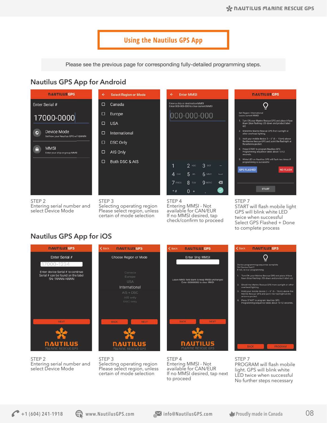# **Using the Nautilus GPS App**

Please see the previous page for corresponding fully-detailed programming steps.

# **Nautilus GPS App for Android**



Entering serial number and select Device Mode

| <b>Select Region or Mode</b> |
|------------------------------|
| Canada                       |
| Europe                       |
| <b>USA</b>                   |
| International                |
| <b>DSC Only</b>              |
| AIS Only                     |
| Both DSC & AIS               |
|                              |
|                              |
|                              |

#### STEP 3

 $\Box$ 

 $\Box$ 

 $\Box$ 

 $\Box$ 

 $\Box$ 

 $\Box$ 

 $\Box$ 

Selecting operating region Please select region, unless certain of mode selection



**Enter MMSI** Enter a ship or destination MMSI<br>Enter 000-000-000 to clear current MMSI

STEP 4

Entering MMSI - Not available for CAN/EUR If no MMSI desired, tap check/confirm to proceed



STEP 7

START will flash mobile light GPS will blink white LED twice when successful Select GPS Flashed + Done to complete process

**NAUTILUS GPS** 

# **Nautilus GPS App for iOS**



STEP 2 Entering serial number and select Device Mode

STEP 3 Selecting operating region Please select region, unless certain of mode selection



STEP 4 Entering MMSI - Not available for CAN/EUR If no MMSI desired, tap next to proceed



STEP 7 PROGRAM will flash mobile light. GPS will blink white LED twice when successful No further steps necessary

**1** (604) 241-1918 **C** www.NautilusGPS.com **info@NautilusGPS.com Proudly made in Canada** 08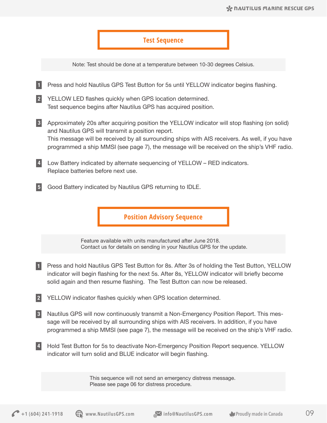## **Test Sequence**

Note: Test should be done at a temperature between 10-30 degrees Celsius.

- Press and hold Nautilus GPS Test Button for 5s until YELLOW indicator begins flashing. **1**
- YELLOW LED flashes quickly when GPS location determined. Test sequence begins after Nautilus GPS has acquired position. **2**
- Approximately 20s after acquiring position the YELLOW indicator will stop flashing (on solid) **3** and Nautilus GPS will transmit a position report. This message will be received by all surrounding ships with AIS receivers. As well, if you have programmed a ship MMSI (see page 7), the message will be received on the ship's VHF radio.
- Low Battery indicated by alternate sequencing of YELLOW RED indicators. **4** Replace batteries before next use.
- Good Battery indicated by Nautilus GPS returning to IDLE. **5**

**Position Advisory Sequence**

Feature available with units manufactured after June 2018. Contact us for details on sending in your Nautilus GPS for the update.

- Press and hold Nautilus GPS Test Button for 8s. After 3s of holding the Test Button, YELLOW **1** indicator will begin flashing for the next 5s. After 8s, YELLOW indicator will briefly become solid again and then resume flashing. The Test Button can now be released.
- YELLOW indicator flashes quickly when GPS location determined. **2**
- Nautilus GPS will now continuously transmit a Non-Emergency Position Report. This message will be received by all surrounding ships with AIS receivers. In addition, if you have programmed a ship MMSI (see page 7), the message will be received on the ship's VHF radio. **3**
- 4 Hold Test Button for 5s to deactivate Non-Emergency Position Report sequence. YELLOW indicator will turn solid and BLUE indicator will begin flashing.

This sequence will not send an emergency distress message. Please see page 06 for distress procedure.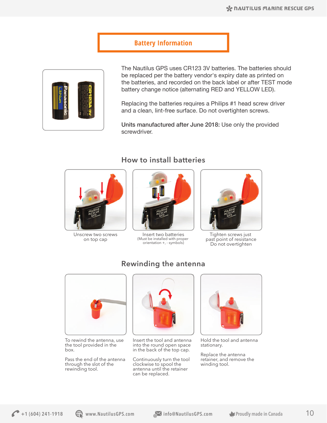# **Battery Information**



The Nautilus GPS uses CR123 3V batteries. The batteries should be replaced per the battery vendor's expiry date as printed on the batteries, and recorded on the back label or after TEST mode battery change notice (alternating RED and YELLOW LED).

Replacing the batteries requires a Philips #1 head screw driver and a clean, lint-free surface. Do not overtighten screws.

Units manufactured after June 2018: Use only the provided screwdriver.

# **How to install batteries**



Unscrew two screws on top cap



(Must be installed with proper orientation +, - symbols) Insert two batteries

**Rewinding the antenna**



Tighten screws just past point of resistance Do not overtighten



To rewind the antenna, use the tool provided in the box.

Pass the end of the antenna through the slot of the rewinding tool.



Insert the tool and antenna into the round open space in the back of the top cap.

Continuously turn the tool clockwise to spool the antenna until the retainer can be replaced.



Hold the tool and antenna stationary.

Replace the antenna retainer, and remove the winding tool.